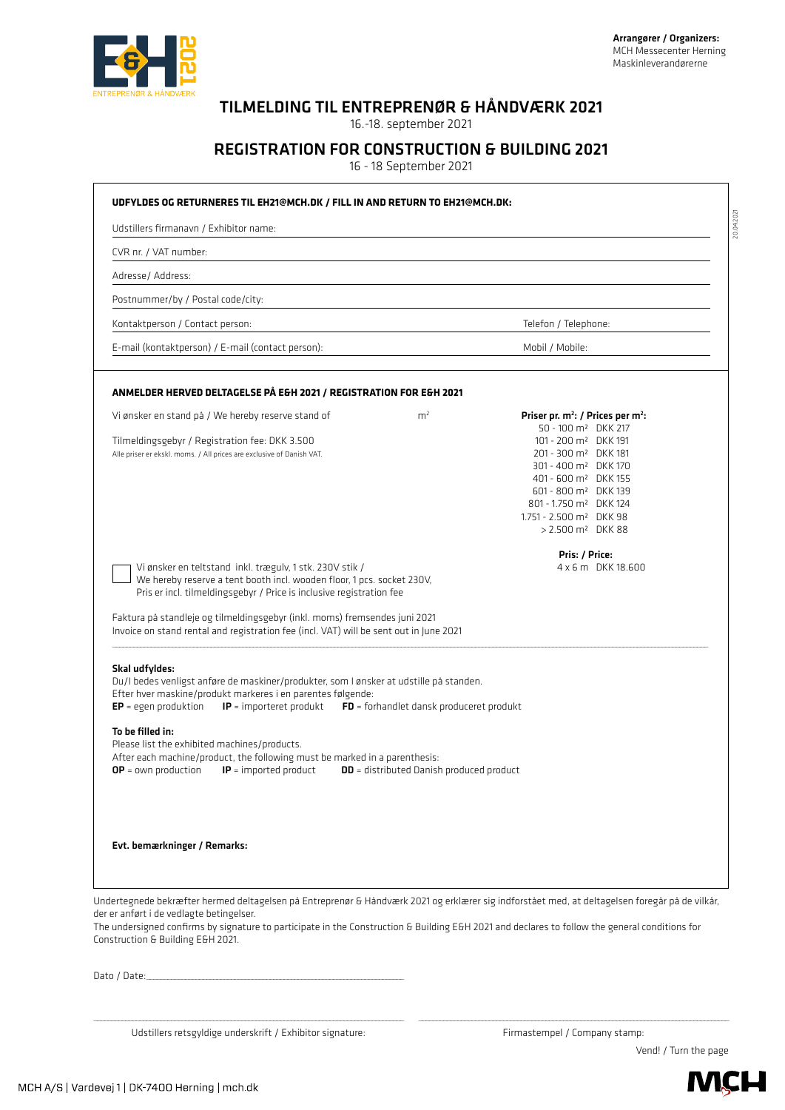

## TILMELDING TIL ENTREPRENØR & HÅNDVÆRK 2021

16.-18. september 2021

## REGISTRATION FOR CONSTRUCTION & BUILDING 2021

16 - 18 September 2021

| Udstillers firmanavn / Exhibitor name:                                        |                                                                                                                                                                                                                                                                                                                                                                                    |                                                 |                                                                                                                                                                                                                                                                                                  |  |
|-------------------------------------------------------------------------------|------------------------------------------------------------------------------------------------------------------------------------------------------------------------------------------------------------------------------------------------------------------------------------------------------------------------------------------------------------------------------------|-------------------------------------------------|--------------------------------------------------------------------------------------------------------------------------------------------------------------------------------------------------------------------------------------------------------------------------------------------------|--|
| CVR nr. / VAT number:                                                         |                                                                                                                                                                                                                                                                                                                                                                                    |                                                 |                                                                                                                                                                                                                                                                                                  |  |
| Adresse/ Address:                                                             |                                                                                                                                                                                                                                                                                                                                                                                    |                                                 |                                                                                                                                                                                                                                                                                                  |  |
| Postnummer/by / Postal code/city:                                             |                                                                                                                                                                                                                                                                                                                                                                                    |                                                 |                                                                                                                                                                                                                                                                                                  |  |
| Kontaktperson / Contact person:                                               |                                                                                                                                                                                                                                                                                                                                                                                    |                                                 | Telefon / Telephone:                                                                                                                                                                                                                                                                             |  |
|                                                                               | E-mail (kontaktperson) / E-mail (contact person):                                                                                                                                                                                                                                                                                                                                  |                                                 | Mobil / Mobile:                                                                                                                                                                                                                                                                                  |  |
|                                                                               | ANMELDER HERVED DELTAGELSE PÅ E&H 2021 / REGISTRATION FOR E&H 2021                                                                                                                                                                                                                                                                                                                 |                                                 |                                                                                                                                                                                                                                                                                                  |  |
|                                                                               | Vi ønsker en stand på / We hereby reserve stand of                                                                                                                                                                                                                                                                                                                                 | m <sup>2</sup>                                  | Priser pr. m <sup>2</sup> : / Prices per m <sup>2</sup> :<br>50 - 100 m <sup>2</sup> DKK 217                                                                                                                                                                                                     |  |
|                                                                               | Tilmeldingsgebyr / Registration fee: DKK 3.500<br>Alle priser er ekskl. moms. / All prices are exclusive of Danish VAT.                                                                                                                                                                                                                                                            |                                                 | 101 - 200 m <sup>2</sup> DKK 191<br>201 - 300 m <sup>2</sup> DKK 181<br>301 - 400 m <sup>2</sup> DKK 170<br>401 - 600 m <sup>2</sup> DKK 155<br>601 - 800 m <sup>2</sup> DKK 139<br>801 - 1.750 m <sup>2</sup> DKK 124<br>1.751 - 2.500 m <sup>2</sup> DKK 98<br>> 2.500 m <sup>2</sup> DKK 88   |  |
|                                                                               | Vi ønsker en teltstand inkl. trægulv, 1 stk. 230V stik /<br>We hereby reserve a tent booth incl. wooden floor, 1 pcs. socket 230V,<br>Pris er incl. tilmeldingsgebyr / Price is inclusive registration fee<br>Faktura på standleje og tilmeldingsgebyr (inkl. moms) fremsendes juni 2021<br>Invoice on stand rental and registration fee (incl. VAT) will be sent out in June 2021 |                                                 | 4 x 6 m DKK 18,600                                                                                                                                                                                                                                                                               |  |
| Skal udfyldes:                                                                | Du/I bedes venligst anføre de maskiner/produkter, som I ønsker at udstille på standen.<br>Efter hver maskine/produkt markeres i en parentes følgende:<br>$EP = egen$ produktion $IP =$ importeret produkt $FD =$ forhandlet dansk produceret produkt                                                                                                                               |                                                 |                                                                                                                                                                                                                                                                                                  |  |
| To be filled in:<br>Please list the exhibited machines/products.              | After each machine/product, the following must be marked in a parenthesis:                                                                                                                                                                                                                                                                                                         |                                                 |                                                                                                                                                                                                                                                                                                  |  |
| $OP = own production$                                                         | $IP =$ imported product                                                                                                                                                                                                                                                                                                                                                            | <b>DD</b> = distributed Danish produced product |                                                                                                                                                                                                                                                                                                  |  |
| Evt. bemærkninger / Remarks:                                                  |                                                                                                                                                                                                                                                                                                                                                                                    |                                                 |                                                                                                                                                                                                                                                                                                  |  |
| der er anført i de vedlagte betingelser.<br>Construction & Building E&H 2021. |                                                                                                                                                                                                                                                                                                                                                                                    |                                                 | Undertegnede bekræfter hermed deltagelsen på Entreprenør & Håndværk 2021 og erklærer sig indforstået med, at deltagelsen foregår på de vilkår,<br>The undersigned confirms by signature to participate in the Construction & Building E&H 2021 and declares to follow the general conditions for |  |

 $\mathcal{L} = \{ \mathcal{L} = \{ \mathcal{L} = \{ \mathcal{L} = \{ \mathcal{L} = \{ \mathcal{L} = \{ \mathcal{L} = \{ \mathcal{L} = \{ \mathcal{L} = \{ \mathcal{L} = \{ \mathcal{L} = \{ \mathcal{L} = \{ \mathcal{L} = \{ \mathcal{L} = \{ \mathcal{L} = \{ \mathcal{L} = \{ \mathcal{L} = \{ \mathcal{L} = \{ \mathcal{L} = \{ \mathcal{L} = \{ \mathcal{L} = \{ \mathcal{L} = \{ \mathcal{L} = \{ \mathcal{L} = \{ \mathcal{$ Udstillers retsgyldige underskrift / Exhibitor signature:

MCH A/S | Vardevej 1 | DK-7400 Herning | mch.dk

**MCH**